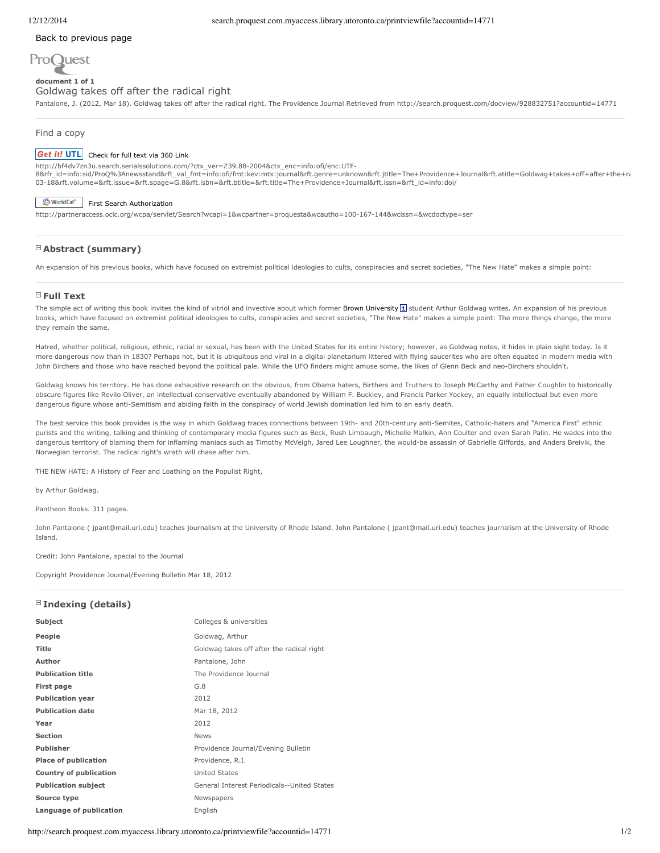### Back to [previous](http://search.proquest.com.myaccess.library.utoronto.ca/docview/928832751/B0B0B0CFAE7549CEPQ/1?accountid=14771) page



#### **document 1 of 1** Goldwag takes off after the radical right

Pantalone, J. (2012, Mar 18). Goldwag takes off after the radical right. The Providence Journal Retrieved from http://search.proquest.com/docview/928832751?accountid=14771

#### Find a copy

#### Get it! UTL [Check](http://bf4dv7zn3u.search.serialssolutions.com/?ctx_ver=Z39.88-2004&ctx_enc=info:ofi/enc:UTF-8&rfr_id=info:sid/ProQ%3Anewsstand&rft_val_fmt=info:ofi/fmt:kev:mtx:journal&rft.genre=unknown&rft.jtitle=The+Providence+Journal&rft.atitle=Goldwag+takes+off+after+the+radical+right&rft.au=Pantalone%2C+John&rft.aulast=Pantalone&rft.aufirst=John&rft.date=2012-03-18&rft.volume=&rft.issue=&rft.spage=G.8&rft.isbn=&rft.btitle=&rft.title=The+Providence+Journal&rft.issn=&rft_id=info:doi/) for full text via 360 Link

http://bf4dv7zn3u.search.serialssolutions.com/?ctx\_ver=Z39.882004&ctx\_enc=info:ofi/enc:UTF-8&rfr\_id=info:sid/ProQ%3Anewsstand&rft\_val\_fmt=info:ofi/fmt:kev:mtx:journal&rft.genre=unknown&rft.jtitle=The+Providence+Journal&rft.atitle=Goldwag+takes+off+after+the+ra 0318&rft.volume=&rft.issue=&rft.spage=G.8&rft.isbn=&rft.btitle=&rft.title=The+Providence+Journal&rft.issn=&rft\_id=info:doi/

# Sy WorldCat<sup>®</sup> First Search [Authorization](http://partneraccess.oclc.org/wcpa/servlet/Search?wcapi=1&wcpartner=proquesta&wcautho=100-167-144&wcissn=&wcdoctype=ser)

http://partneraccess.oclc.org/wcpa/servlet/Search?wcapi=1&wcpartner=proquesta&wcautho=100167144&wcissn=&wcdoctype=ser

# **Abstract (summary)**

An expansion of his previous books, which have focused on extremist political ideologies to cults, conspiracies and secret societies, "The New Hate" makes a simple point:

#### **Full Text**

The simple act of writing this book invites the kind of vitriol and invective about which former Brown University  $\boxed{1}$  student Arthur Goldwag writes. An expansion of his previous books, which have focused on extremist political ideologies to cults, conspiracies and secret societies, "The New Hate" makes a simple point: The more things change, the more they remain the same.

Hatred, whether political, religious, ethnic, racial or sexual, has been with the United States for its entire history; however, as Goldwag notes, it hides in plain sight today. Is it more dangerous now than in 1830? Perhaps not, but it is ubiquitous and viral in a digital planetarium littered with flying saucerites who are often equated in modern media with John Birchers and those who have reached beyond the political pale. While the UFO finders might amuse some, the likes of Glenn Beck and neo-Birchers shouldn't.

Goldwag knows his territory. He has done exhaustive research on the obvious, from Obama haters, Birthers and Truthers to Joseph McCarthy and Father Coughlin to historically obscure figures like Revilo Oliver, an intellectual conservative eventually abandoned by William F. Buckley, and Francis Parker Yockey, an equally intellectual but even more dangerous figure whose anti-Semitism and abiding faith in the conspiracy of world Jewish domination led him to an early death.

The best service this book provides is the way in which Goldwag traces connections between 19th- and 20th-century anti-Semites, Catholic-haters and "America First" ethnic purists and the writing, talking and thinking of contemporary media figures such as Beck, Rush Limbaugh, Michelle Malkin, Ann Coulter and even Sarah Palin. He wades into the dangerous territory of blaming them for inflaming maniacs such as Timothy McVeigh, Jared Lee Loughner, the would-be assassin of Gabrielle Giffords, and Anders Breivik, the Norwegian terrorist. The radical right's wrath will chase after him.

THE NEW HATE: A History of Fear and Loathing on the Populist Right,

by Arthur Goldwag.

Pantheon Books. 311 pages.

John Pantalone ( jpant@mail.uri.edu) teaches journalism at the University of Rhode Island. John Pantalone ( jpant@mail.uri.edu) teaches journalism at the University of Rhode Island.

Credit: John Pantalone, special to the Journal

Copyright Providence Journal/Evening Bulletin Mar 18, 2012

# **Indexing (details)**

| Subject                     | Colleges & universities                     |
|-----------------------------|---------------------------------------------|
| People                      | Goldwag, Arthur                             |
| <b>Title</b>                | Goldwag takes off after the radical right   |
| Author                      | Pantalone, John                             |
| <b>Publication title</b>    | The Providence Journal                      |
| <b>First page</b>           | G.8                                         |
| <b>Publication year</b>     | 2012                                        |
| <b>Publication date</b>     | Mar 18, 2012                                |
| Year                        | 2012                                        |
| <b>Section</b>              | <b>News</b>                                 |
| Publisher                   | Providence Journal/Evening Bulletin         |
| <b>Place of publication</b> | Providence, R.I.                            |
| Country of publication      | United States                               |
| <b>Publication subject</b>  | General Interest Periodicals--United States |
| Source type                 | Newspapers                                  |
| Language of publication     | English                                     |

http://search.proquest.com.myaccess.library.utoronto.ca/printviewfile?accountid=14771 1/2